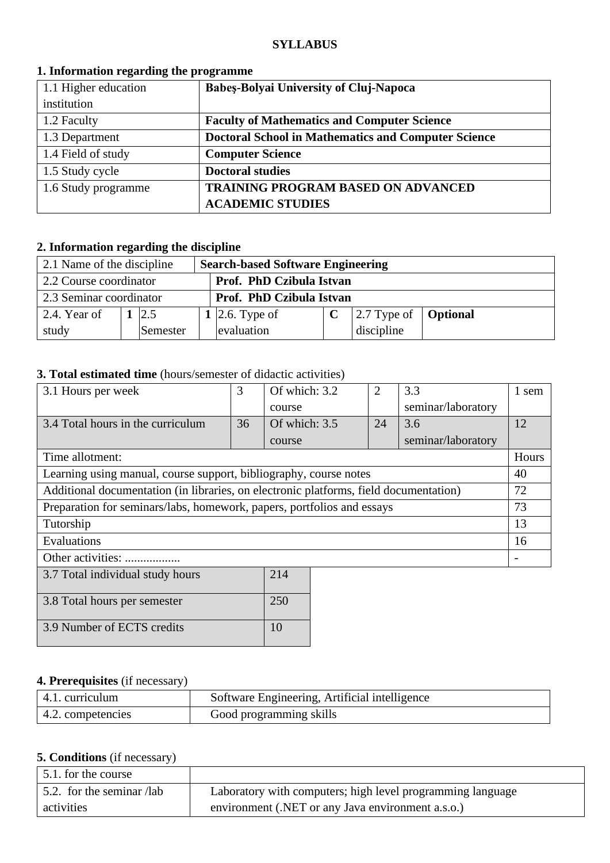#### **SYLLABUS**

| 1.1 Higher education | <b>Babes-Bolyai University of Cluj-Napoca</b>              |
|----------------------|------------------------------------------------------------|
| institution          |                                                            |
| 1.2 Faculty          | <b>Faculty of Mathematics and Computer Science</b>         |
| 1.3 Department       | <b>Doctoral School in Mathematics and Computer Science</b> |
| 1.4 Field of study   | <b>Computer Science</b>                                    |
| 1.5 Study cycle      | <b>Doctoral studies</b>                                    |
| 1.6 Study programme  | TRAINING PROGRAM BASED ON ADVANCED                         |
|                      | <b>ACADEMIC STUDIES</b>                                    |

#### **1. Information regarding the programme**

## **2. Information regarding the discipline**

| 2.1 Name of the discipline<br><b>Search-based Software Engineering</b> |  |          |  |                          |  |                                             |  |  |
|------------------------------------------------------------------------|--|----------|--|--------------------------|--|---------------------------------------------|--|--|
| Prof. PhD Czibula Istvan<br>2.2 Course coordinator                     |  |          |  |                          |  |                                             |  |  |
| 2.3 Seminar coordinator                                                |  |          |  | Prof. PhD Czibula Istvan |  |                                             |  |  |
| 2.4. Year of                                                           |  | 2.5      |  | 1   2.6. Type of         |  | $\vert$ 2.7 Type of $\vert$ <b>Optional</b> |  |  |
| study                                                                  |  | Semester |  | evaluation<br>discipline |  |                                             |  |  |

### **3. Total estimated time** (hours/semester of didactic activities)

| 3.1 Hours per week                                                                    | 3  | Of which: 3.2 |  | $\overline{2}$ | 3.3                | 1 sem |
|---------------------------------------------------------------------------------------|----|---------------|--|----------------|--------------------|-------|
|                                                                                       |    | course        |  |                | seminar/laboratory |       |
| 3.4 Total hours in the curriculum                                                     | 36 | Of which: 3.5 |  | 24             | 3.6                | 12    |
|                                                                                       |    | course        |  |                | seminar/laboratory |       |
| Time allotment:                                                                       |    |               |  |                |                    | Hours |
| Learning using manual, course support, bibliography, course notes                     |    |               |  |                | 40                 |       |
| Additional documentation (in libraries, on electronic platforms, field documentation) |    |               |  |                | 72                 |       |
| Preparation for seminars/labs, homework, papers, portfolios and essays                |    |               |  |                | 73                 |       |
| Tutorship                                                                             |    |               |  |                | 13                 |       |
| Evaluations                                                                           |    |               |  |                | 16                 |       |
| Other activities:                                                                     |    |               |  |                |                    |       |
| 3.7 Total individual study hours<br>214                                               |    |               |  |                |                    |       |

| $3.7$ Total murvidual study nours | $\sim$ 1 T |
|-----------------------------------|------------|
| 3.8 Total hours per semester      | 250        |
| 3.9 Number of ECTS credits        |            |

## **4. Prerequisites** (if necessary)

| $\vert$ 4.1. curriculum   | Software Engineering, Artificial intelligence |
|---------------------------|-----------------------------------------------|
| $\vert$ 4.2. competencies | Good programming skills                       |

### **5. Conditions** (if necessary)

| 5.1. for the course               |                                                            |
|-----------------------------------|------------------------------------------------------------|
| $\vert$ 5.2. for the seminar /lab | Laboratory with computers; high level programming language |
| activities                        | environment (.NET or any Java environment a.s.o.)          |

<u> 1980 - Johann Barbara, martxa amerikan personal (</u>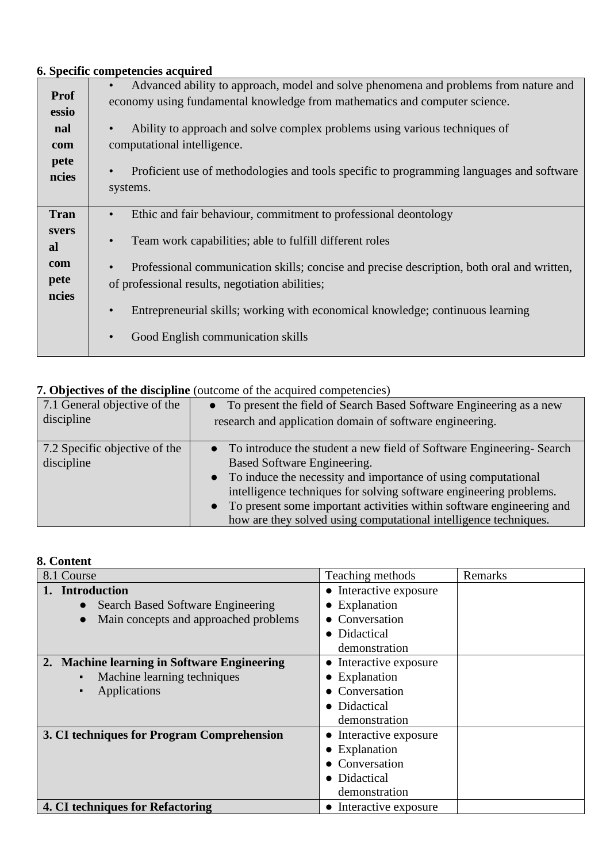# **6. Specific competencies acquired**

| <b>Prof</b><br>essio<br>nal<br>com<br>pete | Advanced ability to approach, model and solve phenomena and problems from nature and<br>economy using fundamental knowledge from mathematics and computer science.<br>Ability to approach and solve complex problems using various techniques of<br>computational intelligence.<br>Proficient use of methodologies and tools specific to programming languages and software<br>$\bullet$ |
|--------------------------------------------|------------------------------------------------------------------------------------------------------------------------------------------------------------------------------------------------------------------------------------------------------------------------------------------------------------------------------------------------------------------------------------------|
| ncies                                      | systems.                                                                                                                                                                                                                                                                                                                                                                                 |
| <b>Tran</b>                                | Ethic and fair behaviour, commitment to professional deontology<br>$\bullet$                                                                                                                                                                                                                                                                                                             |
| svers<br>al                                | Team work capabilities; able to fulfill different roles<br>$\bullet$                                                                                                                                                                                                                                                                                                                     |
| com<br>pete<br>ncies                       | Professional communication skills; concise and precise description, both oral and written,<br>$\bullet$<br>of professional results, negotiation abilities;                                                                                                                                                                                                                               |
|                                            | Entrepreneurial skills; working with economical knowledge; continuous learning                                                                                                                                                                                                                                                                                                           |
|                                            | Good English communication skills                                                                                                                                                                                                                                                                                                                                                        |

## **7. Objectives of the discipline** (outcome of the acquired competencies)

| 7.1 General objective of the                | • To present the field of Search Based Software Engineering as a new                                                                                                                                                                                                                                                                                                                                   |
|---------------------------------------------|--------------------------------------------------------------------------------------------------------------------------------------------------------------------------------------------------------------------------------------------------------------------------------------------------------------------------------------------------------------------------------------------------------|
| discipline                                  | research and application domain of software engineering.                                                                                                                                                                                                                                                                                                                                               |
| 7.2 Specific objective of the<br>discipline | • To introduce the student a new field of Software Engineering-Search<br>Based Software Engineering.<br>• To induce the necessity and importance of using computational<br>intelligence techniques for solving software engineering problems.<br>To present some important activities within software engineering and<br>$\bullet$<br>how are they solved using computational intelligence techniques. |

### **8. Content**

| 8.1 Course                                            | Teaching methods       | Remarks |
|-------------------------------------------------------|------------------------|---------|
| <b>Introduction</b>                                   | • Interactive exposure |         |
| <b>Search Based Software Engineering</b><br>$\bullet$ | • Explanation          |         |
| Main concepts and approached problems<br>$\bullet$    | • Conversation         |         |
|                                                       | • Didactical           |         |
|                                                       | demonstration          |         |
| 2. Machine learning in Software Engineering           | • Interactive exposure |         |
| Machine learning techniques                           | • Explanation          |         |
| Applications<br>$\blacksquare$                        | • Conversation         |         |
|                                                       | • Didactical           |         |
|                                                       | demonstration          |         |
| 3. CI techniques for Program Comprehension            | • Interactive exposure |         |
|                                                       | • Explanation          |         |
|                                                       | • Conversation         |         |
|                                                       | • Didactical           |         |
|                                                       | demonstration          |         |
| 4. CI techniques for Refactoring                      | • Interactive exposure |         |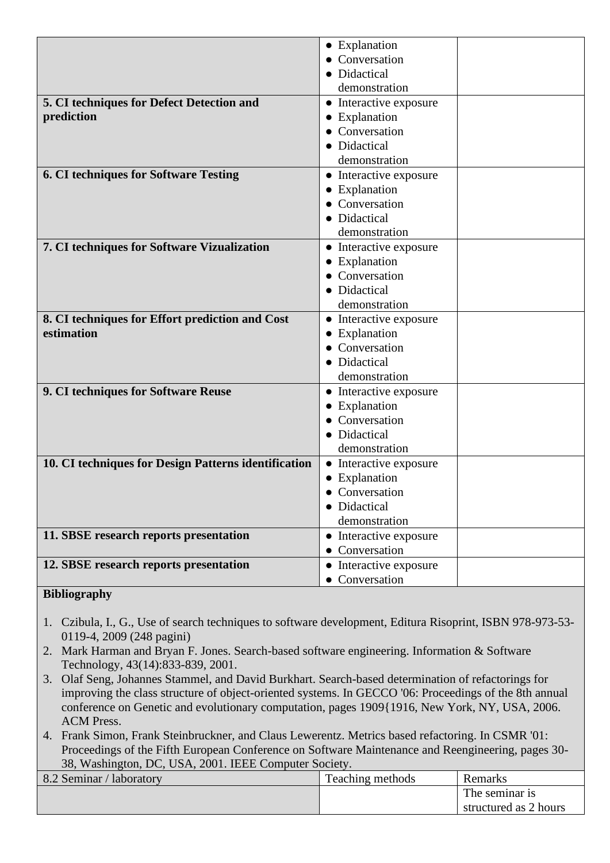|                                                      | • Explanation          |
|------------------------------------------------------|------------------------|
|                                                      | • Conversation         |
|                                                      | • Didactical           |
|                                                      | demonstration          |
| 5. CI techniques for Defect Detection and            | • Interactive exposure |
| prediction                                           | • Explanation          |
|                                                      | • Conversation         |
|                                                      | • Didactical           |
|                                                      | demonstration          |
| <b>6. CI techniques for Software Testing</b>         | • Interactive exposure |
|                                                      | • Explanation          |
|                                                      | Conversation           |
|                                                      | • Didactical           |
|                                                      | demonstration          |
| 7. CI techniques for Software Vizualization          | • Interactive exposure |
|                                                      | • Explanation          |
|                                                      | • Conversation         |
|                                                      | • Didactical           |
|                                                      | demonstration          |
| 8. CI techniques for Effort prediction and Cost      | • Interactive exposure |
| estimation                                           | • Explanation          |
|                                                      | • Conversation         |
|                                                      | • Didactical           |
|                                                      | demonstration          |
| 9. CI techniques for Software Reuse                  | • Interactive exposure |
|                                                      | • Explanation          |
|                                                      | • Conversation         |
|                                                      | • Didactical           |
|                                                      | demonstration          |
| 10. CI techniques for Design Patterns identification | • Interactive exposure |
|                                                      | • Explanation          |
|                                                      | Conversation           |
|                                                      | • Didactical           |
|                                                      | demonstration          |
| 11. SBSE research reports presentation               | • Interactive exposure |
|                                                      | • Conversation         |
| 12. SBSE research reports presentation               | • Interactive exposure |
|                                                      | • Conversation         |

#### **Bibliography**

- 1. Czibula, I., G., Use of search techniques to software development, Editura Risoprint, ISBN 978-973-53- 0119-4, 2009 (248 pagini)
- 2. Mark Harman and Bryan F. Jones. Search-based software engineering. Information & Software Technology, 43(14):833-839, 2001.
- 3. Olaf Seng, Johannes Stammel, and David Burkhart. Search-based determination of refactorings for improving the class structure of object-oriented systems. In GECCO '06: Proceedings of the 8th annual conference on Genetic and evolutionary computation, pages 1909{1916, New York, NY, USA, 2006. ACM Press.
- 4. Frank Simon, Frank Steinbruckner, and Claus Lewerentz. Metrics based refactoring. In CSMR '01: Proceedings of the Fifth European Conference on Software Maintenance and Reengineering, pages 30- 38, Washington, DC, USA, 2001. IEEE Computer Society.

| 8.2 Seminar / laboratory | Teaching methods | Remarks               |
|--------------------------|------------------|-----------------------|
|                          |                  | The seminar is        |
|                          |                  | structured as 2 hours |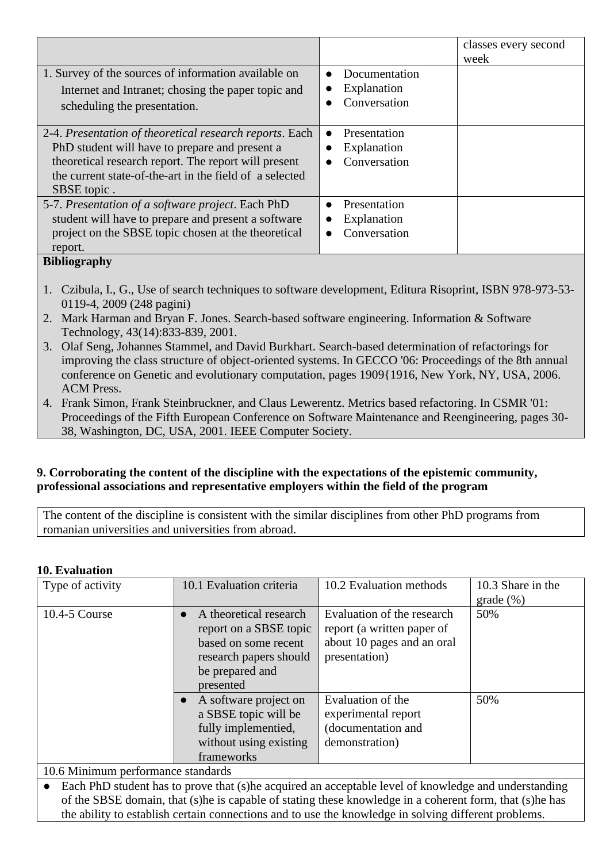|                                                                                                                                                                                                                                             |                                              | classes every second<br>week |
|---------------------------------------------------------------------------------------------------------------------------------------------------------------------------------------------------------------------------------------------|----------------------------------------------|------------------------------|
| 1. Survey of the sources of information available on<br>Internet and Intranet; chosing the paper topic and<br>scheduling the presentation.                                                                                                  | Documentation<br>Explanation<br>Conversation |                              |
| 2-4. Presentation of theoretical research reports. Each<br>PhD student will have to prepare and present a<br>theoretical research report. The report will present<br>the current state-of-the-art in the field of a selected<br>SBSE topic. | Presentation<br>Explanation<br>Conversation  |                              |
| 5-7. Presentation of a software project. Each PhD<br>student will have to prepare and present a software<br>project on the SBSE topic chosen at the theoretical<br>report.                                                                  | Presentation<br>Explanation<br>Conversation  |                              |

### **Bibliography**

- 1. Czibula, I., G., Use of search techniques to software development, Editura Risoprint, ISBN 978-973-53- 0119-4, 2009 (248 pagini)
- 2. Mark Harman and Bryan F. Jones. Search-based software engineering. Information & Software Technology, 43(14):833-839, 2001.
- 3. Olaf Seng, Johannes Stammel, and David Burkhart. Search-based determination of refactorings for improving the class structure of object-oriented systems. In GECCO '06: Proceedings of the 8th annual conference on Genetic and evolutionary computation, pages 1909{1916, New York, NY, USA, 2006. ACM Press.
- 4. Frank Simon, Frank Steinbruckner, and Claus Lewerentz. Metrics based refactoring. In CSMR '01: Proceedings of the Fifth European Conference on Software Maintenance and Reengineering, pages 30- 38, Washington, DC, USA, 2001. IEEE Computer Society.

#### **9. Corroborating the content of the discipline with the expectations of the epistemic community, professional associations and representative employers within the field of the program**

The content of the discipline is consistent with the similar disciplines from other PhD programs from romanian universities and universities from abroad.

### **10. Evaluation**

| 1v. <i>1</i> vanaanvii                                                                                                                                                                                                                                                                                                                                                                                   |                                                                                                                                    |                                                                                                         |                   |
|----------------------------------------------------------------------------------------------------------------------------------------------------------------------------------------------------------------------------------------------------------------------------------------------------------------------------------------------------------------------------------------------------------|------------------------------------------------------------------------------------------------------------------------------------|---------------------------------------------------------------------------------------------------------|-------------------|
| Type of activity                                                                                                                                                                                                                                                                                                                                                                                         | 10.1 Evaluation criteria                                                                                                           | 10.2 Evaluation methods                                                                                 | 10.3 Share in the |
|                                                                                                                                                                                                                                                                                                                                                                                                          |                                                                                                                                    |                                                                                                         | $grade$ (%)       |
| 10.4-5 Course                                                                                                                                                                                                                                                                                                                                                                                            | A theoretical research<br>report on a SBSE topic<br>based on some recent<br>research papers should<br>be prepared and<br>presented | Evaluation of the research<br>report (a written paper of<br>about 10 pages and an oral<br>presentation) | 50%               |
|                                                                                                                                                                                                                                                                                                                                                                                                          | A software project on<br>a SBSE topic will be<br>fully implementied,<br>without using existing<br>frameworks                       | Evaluation of the<br>experimental report<br>(documentation and<br>demonstration)                        | 50%               |
| 10.6 Minimum performance standards                                                                                                                                                                                                                                                                                                                                                                       |                                                                                                                                    |                                                                                                         |                   |
| $\Gamma$ 1 DID $\left(1 \right)$ $\left(1 \right)$ $\left(1 \right)$ $\left(1 \right)$ $\left(1 \right)$ $\left(1 \right)$ $\left(1 \right)$ $\left(1 \right)$ $\left(1 \right)$ $\left(1 \right)$ $\left(1 \right)$ $\left(1 \right)$ $\left(1 \right)$ $\left(1 \right)$ $\left(1 \right)$ $\left(1 \right)$ $\left(1 \right)$ $\left(1 \right)$ $\left(1 \right)$ $\left(1 \right)$ $\left(1 \right)$ |                                                                                                                                    |                                                                                                         |                   |

Each PhD student has to prove that (s)he acquired an acceptable level of knowledge and understanding of the SBSE domain, that (s)he is capable of stating these knowledge in a coherent form, that (s)he has the ability to establish certain connections and to use the knowledge in solving different problems.